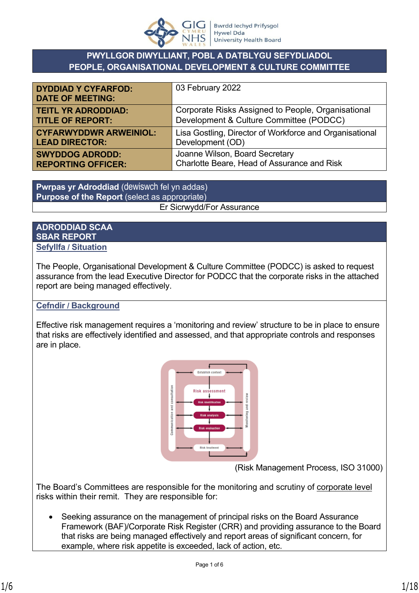

# **PWYLLGOR DIWYLLIANT, POBL A DATBLYGU SEFYDLIADOL PEOPLE, ORGANISATIONAL DEVELOPMENT & CULTURE COMMITTEE**

| <b>DYDDIAD Y CYFARFOD:</b><br><b>DATE OF MEETING:</b> | 03 February 2022                                        |
|-------------------------------------------------------|---------------------------------------------------------|
| <b>TEITL YR ADRODDIAD:</b>                            | Corporate Risks Assigned to People, Organisational      |
| <b>TITLE OF REPORT:</b>                               | Development & Culture Committee (PODCC)                 |
| <b>CYFARWYDDWR ARWEINIOL:</b>                         | Lisa Gostling, Director of Workforce and Organisational |
| <b>LEAD DIRECTOR:</b>                                 | Development (OD)                                        |
| <b>SWYDDOG ADRODD:</b>                                | Joanne Wilson, Board Secretary                          |
| <b>REPORTING OFFICER:</b>                             | Charlotte Beare, Head of Assurance and Risk             |

**Pwrpas yr Adroddiad** (dewiswch fel yn addas) **Purpose of the Report** (select as appropriate) Er Sicrwydd/For Assurance

### **ADRODDIAD SCAA SBAR REPORT Sefyllfa / Situation**

The People, Organisational Development & Culture Committee (PODCC) is asked to request assurance from the lead Executive Director for PODCC that the corporate risks in the attached report are being managed effectively.

# **Cefndir / Background**

Effective risk management requires a 'monitoring and review' structure to be in place to ensure that risks are effectively identified and assessed, and that appropriate controls and responses are in place.



(Risk Management Process, ISO 31000)

The Board's Committees are responsible for the monitoring and scrutiny of corporate level risks within their remit. They are responsible for:

• Seeking assurance on the management of principal risks on the Board Assurance Framework (BAF)/Corporate Risk Register (CRR) and providing assurance to the Board that risks are being managed effectively and report areas of significant concern, for example, where risk appetite is exceeded, lack of action, etc.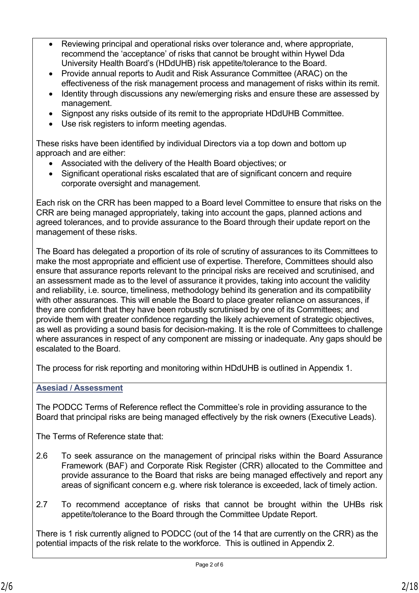- Reviewing principal and operational risks over tolerance and, where appropriate, recommend the 'acceptance' of risks that cannot be brought within Hywel Dda University Health Board's (HDdUHB) risk appetite/tolerance to the Board.
- Provide annual reports to Audit and Risk Assurance Committee (ARAC) on the effectiveness of the risk management process and management of risks within its remit.
- Identity through discussions any new/emerging risks and ensure these are assessed by management.
- Signpost any risks outside of its remit to the appropriate HDdUHB Committee.
- Use risk registers to inform meeting agendas.

These risks have been identified by individual Directors via a top down and bottom up approach and are either:

- Associated with the delivery of the Health Board objectives; or
- Significant operational risks escalated that are of significant concern and require corporate oversight and management.

Each risk on the CRR has been mapped to a Board level Committee to ensure that risks on the CRR are being managed appropriately, taking into account the gaps, planned actions and agreed tolerances, and to provide assurance to the Board through their update report on the management of these risks.

The Board has delegated a proportion of its role of scrutiny of assurances to its Committees to make the most appropriate and efficient use of expertise. Therefore, Committees should also ensure that assurance reports relevant to the principal risks are received and scrutinised, and an assessment made as to the level of assurance it provides, taking into account the validity and reliability, i.e. source, timeliness, methodology behind its generation and its compatibility with other assurances. This will enable the Board to place greater reliance on assurances, if they are confident that they have been robustly scrutinised by one of its Committees; and provide them with greater confidence regarding the likely achievement of strategic objectives, as well as providing a sound basis for decision-making. It is the role of Committees to challenge where assurances in respect of any component are missing or inadequate. Any gaps should be escalated to the Board.

The process for risk reporting and monitoring within HDdUHB is outlined in Appendix 1.

# **Asesiad / Assessment**

The PODCC Terms of Reference reflect the Committee's role in providing assurance to the Board that principal risks are being managed effectively by the risk owners (Executive Leads).

The Terms of Reference state that:

- 2.6 To seek assurance on the management of principal risks within the Board Assurance Framework (BAF) and Corporate Risk Register (CRR) allocated to the Committee and provide assurance to the Board that risks are being managed effectively and report any areas of significant concern e.g. where risk tolerance is exceeded, lack of timely action.
- 2.7 To recommend acceptance of risks that cannot be brought within the UHBs risk appetite/tolerance to the Board through the Committee Update Report.

There is 1 risk currently aligned to PODCC (out of the 14 that are currently on the CRR) as the potential impacts of the risk relate to the workforce. This is outlined in Appendix 2.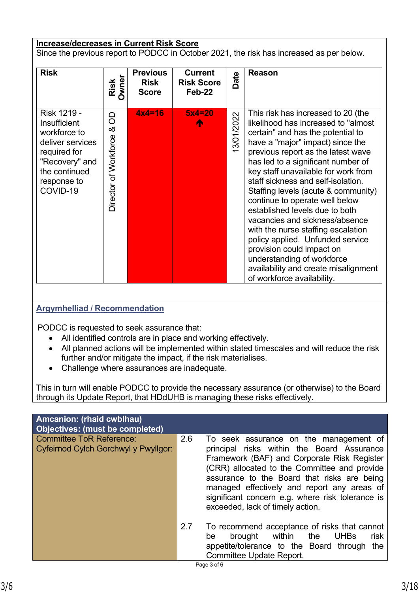# **Increase/decreases in Current Risk Score**

Since the previous report to PODCC in October 2021, the risk has increased as per below.

| <b>Risk</b>                                                                                                                                          | Risk<br>Owner                   | <b>Previous</b><br><b>Risk</b><br><b>Score</b> | <b>Current</b><br><b>Risk Score</b><br>Feb-22 | Date       | <b>Reason</b>                                                                                                                                                                                                                                                                                                                                                                                                                                                                                                                                                                                                                                                       |
|------------------------------------------------------------------------------------------------------------------------------------------------------|---------------------------------|------------------------------------------------|-----------------------------------------------|------------|---------------------------------------------------------------------------------------------------------------------------------------------------------------------------------------------------------------------------------------------------------------------------------------------------------------------------------------------------------------------------------------------------------------------------------------------------------------------------------------------------------------------------------------------------------------------------------------------------------------------------------------------------------------------|
| Risk 1219 -<br><b>Insufficient</b><br>workforce to<br>deliver services<br>required for<br>"Recovery" and<br>the continued<br>response to<br>COVID-19 | 8<br>య<br>Director of Workforce | $4x4=16$                                       | $5x4=20$                                      | 13/01/2022 | This risk has increased to 20 (the<br>likelihood has increased to "almost<br>certain" and has the potential to<br>have a "major" impact) since the<br>previous report as the latest wave<br>has led to a significant number of<br>key staff unavailable for work from<br>staff sickness and self-isolation.<br>Staffing levels (acute & community)<br>continue to operate well below<br>established levels due to both<br>vacancies and sickness/absence<br>with the nurse staffing escalation<br>policy applied. Unfunded service<br>provision could impact on<br>understanding of workforce<br>availability and create misalignment<br>of workforce availability. |

# **Argymhelliad / Recommendation**

PODCC is requested to seek assurance that:

- All identified controls are in place and working effectively.
- All planned actions will be implemented within stated timescales and will reduce the risk further and/or mitigate the impact, if the risk materialises.
- Challenge where assurances are inadequate.

This in turn will enable PODCC to provide the necessary assurance (or otherwise) to the Board through its Update Report, that HDdUHB is managing these risks effectively.

| Amcanion: (rhaid cwblhau)<br><b>Objectives: (must be completed)</b>     |     |                                                                                                                                                                                                                                                                                                                                                                           |
|-------------------------------------------------------------------------|-----|---------------------------------------------------------------------------------------------------------------------------------------------------------------------------------------------------------------------------------------------------------------------------------------------------------------------------------------------------------------------------|
| <b>Committee ToR Reference:</b><br>Cyfeirnod Cylch Gorchwyl y Pwyllgor: | 2.6 | To seek assurance on the management of<br>principal risks within the Board Assurance<br>Framework (BAF) and Corporate Risk Register<br>(CRR) allocated to the Committee and provide<br>assurance to the Board that risks are being<br>managed effectively and report any areas of<br>significant concern e.g. where risk tolerance is<br>exceeded, lack of timely action. |
|                                                                         | 2.7 | To recommend acceptance of risks that cannot<br>brought within<br><b>UHBs</b><br>risk<br>the<br>be<br>appetite/tolerance to the Board through<br>the<br>Committee Update Report.<br>Page 3 of 6                                                                                                                                                                           |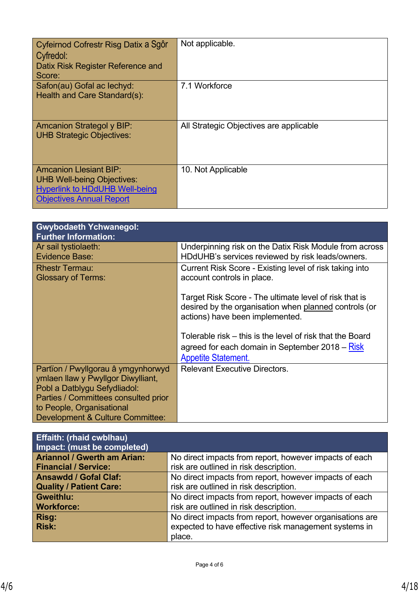| Cyfeirnod Cofrestr Risg Datix a Sgôr<br>Cyfredol:<br>Datix Risk Register Reference and<br>Score:                                               | Not applicable.                         |
|------------------------------------------------------------------------------------------------------------------------------------------------|-----------------------------------------|
| Safon(au) Gofal ac lechyd:<br>Health and Care Standard(s):                                                                                     | 7.1 Workforce                           |
| <b>Amcanion Strategol y BIP:</b><br><b>UHB Strategic Objectives:</b>                                                                           | All Strategic Objectives are applicable |
| <b>Amcanion Llesiant BIP:</b><br><b>UHB Well-being Objectives:</b><br><b>Hyperlink to HDdUHB Well-being</b><br><b>Objectives Annual Report</b> | 10. Not Applicable                      |

| <b>Gwybodaeth Ychwanegol:</b><br><b>Further Information:</b>                                                                                                                                                      |                                                                                                                                                    |
|-------------------------------------------------------------------------------------------------------------------------------------------------------------------------------------------------------------------|----------------------------------------------------------------------------------------------------------------------------------------------------|
| Ar sail tystiolaeth:<br><b>Evidence Base:</b>                                                                                                                                                                     | Underpinning risk on the Datix Risk Module from across<br>HDdUHB's services reviewed by risk leads/owners.                                         |
| <b>Rhestr Termau:</b><br><b>Glossary of Terms:</b>                                                                                                                                                                | Current Risk Score - Existing level of risk taking into<br>account controls in place.                                                              |
|                                                                                                                                                                                                                   | Target Risk Score - The ultimate level of risk that is<br>desired by the organisation when planned controls (or<br>actions) have been implemented. |
|                                                                                                                                                                                                                   | Tolerable risk – this is the level of risk that the Board<br>agreed for each domain in September 2018 – Risk<br><b>Appetite Statement.</b>         |
| Partïon / Pwyllgorau â ymgynhorwyd<br>ymlaen llaw y Pwyllgor Diwylliant,<br>Pobl a Datblygu Sefydliadol:<br>Parties / Committees consulted prior<br>to People, Organisational<br>Development & Culture Committee: | <b>Relevant Executive Directors.</b>                                                                                                               |

| <b>Effaith: (rhaid cwblhau)</b><br>Impact: (must be completed) |                                                          |
|----------------------------------------------------------------|----------------------------------------------------------|
| <b>Ariannol / Gwerth am Arian:</b>                             | No direct impacts from report, however impacts of each   |
| <b>Financial / Service:</b>                                    | risk are outlined in risk description.                   |
| <b>Ansawdd / Gofal Claf:</b>                                   | No direct impacts from report, however impacts of each   |
| <b>Quality / Patient Care:</b>                                 | risk are outlined in risk description.                   |
| <b>Gweithlu:</b>                                               | No direct impacts from report, however impacts of each   |
| <b>Workforce:</b>                                              | risk are outlined in risk description.                   |
| Risg:                                                          | No direct impacts from report, however organisations are |
| <b>Risk:</b>                                                   | expected to have effective risk management systems in    |
|                                                                | place.                                                   |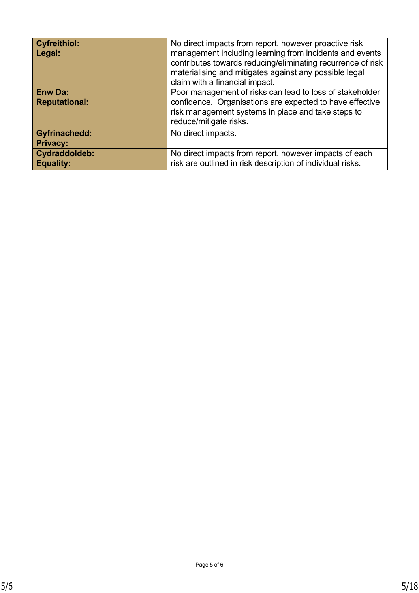| <b>Cyfreithiol:</b><br>Legal:           | No direct impacts from report, however proactive risk<br>management including learning from incidents and events<br>contributes towards reducing/eliminating recurrence of risk<br>materialising and mitigates against any possible legal<br>claim with a financial impact. |
|-----------------------------------------|-----------------------------------------------------------------------------------------------------------------------------------------------------------------------------------------------------------------------------------------------------------------------------|
| <b>Enw Da:</b><br><b>Reputational:</b>  | Poor management of risks can lead to loss of stakeholder<br>confidence. Organisations are expected to have effective<br>risk management systems in place and take steps to<br>reduce/mitigate risks.                                                                        |
| <b>Gyfrinachedd:</b><br><b>Privacy:</b> | No direct impacts.                                                                                                                                                                                                                                                          |
| Cydraddoldeb:<br><b>Equality:</b>       | No direct impacts from report, however impacts of each<br>risk are outlined in risk description of individual risks.                                                                                                                                                        |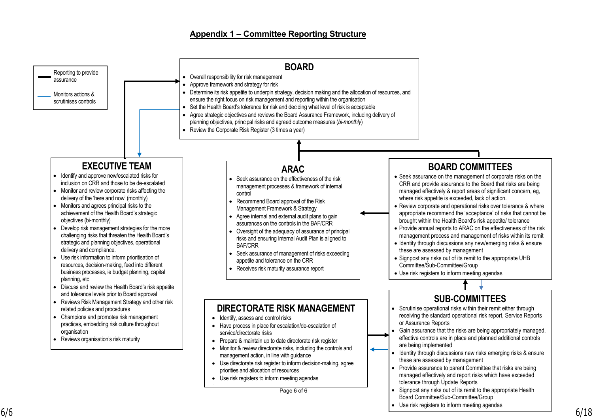### **Appendix 1 – Committee Reporting Structure**

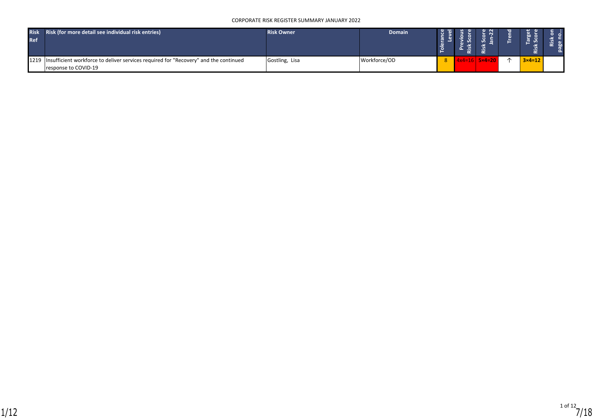#### CORPORATE RISK REGISTER SUMMARY JANUARY 2022

| <b>Risk</b><br><b>Ref</b> | Risk (for more detail see individual risk entries)                                                                | <b>Risk Owner</b> | <b>Domain</b> |  |               | $\sim$            |  |
|---------------------------|-------------------------------------------------------------------------------------------------------------------|-------------------|---------------|--|---------------|-------------------|--|
|                           | 1219 Insufficient workforce to deliver services required for "Recovery" and the continued<br>response to COVID-19 | Gostling, Lisa    | Workforce/OD  |  | $5\times4=20$ | $3 \times 4 = 12$ |  |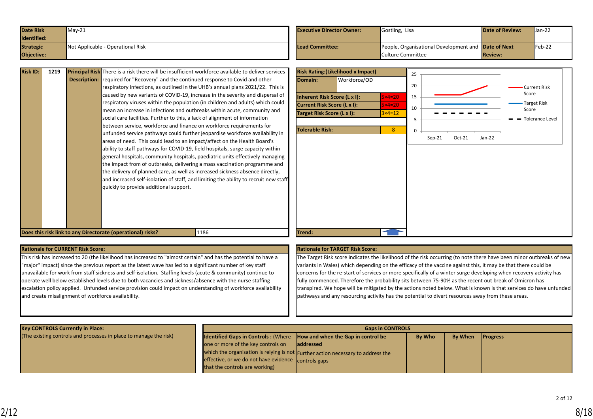| <b>Date Risk</b> | $Mav-21$                          | <b>Executive Director Owner:</b> | Gostling, Lisa                                      | <b>Date of Review:</b> | $\mathsf{Uan-22}$ |
|------------------|-----------------------------------|----------------------------------|-----------------------------------------------------|------------------------|-------------------|
| Identified:      |                                   |                                  |                                                     |                        |                   |
| <b>Strategic</b> | Not Applicable - Operational Risk | Lead Committee:                  | People, Organisational Development and Date of Next |                        | $Feb-22$          |
| Objective:       |                                   |                                  | Culture Committee                                   | <b>Review:</b>         |                   |

| <b>Risk ID:</b> | 1219 | <b>Principal Risk</b> There is a risk there will be insufficient workforce available to deliver services<br><b>Description:</b> required for "Recovery" and the continued response to Covid and other<br>respiratory infections, as outlined in the UHB's annual plans 2021/22. This is<br>caused by new variants of COVID-19, increase in the severity and dispersal of<br>respiratory viruses within the population (in children and adults) which could<br>mean an increase in infections and outbreaks within acute, community and<br>social care facilities. Further to this, a lack of alignment of information<br>between service, workforce and finance on workforce requirements for<br>unfunded service pathways could further jeopardise workforce availability in<br>areas of need. This could lead to an impact/affect on the Health Board's<br>ability to staff pathways for COVID-19, field hospitals, surge capacity within<br>general hospitals, community hospitals, paediatric units effectively managing<br>the impact from of outbreaks, delivering a mass vaccination programme and<br>the delivery of planned care, as well as increased sickness absence directly,<br>and increased self-isolation of staff, and limiting the ability to recruit new staff<br>quickly to provide additional support. | Ris<br><b>Do</b><br>Inh<br><b>Cur</b><br>Tar<br>Tol |
|-----------------|------|------------------------------------------------------------------------------------------------------------------------------------------------------------------------------------------------------------------------------------------------------------------------------------------------------------------------------------------------------------------------------------------------------------------------------------------------------------------------------------------------------------------------------------------------------------------------------------------------------------------------------------------------------------------------------------------------------------------------------------------------------------------------------------------------------------------------------------------------------------------------------------------------------------------------------------------------------------------------------------------------------------------------------------------------------------------------------------------------------------------------------------------------------------------------------------------------------------------------------------------------------------------------------------------------------------------------------|-----------------------------------------------------|
|                 |      |                                                                                                                                                                                                                                                                                                                                                                                                                                                                                                                                                                                                                                                                                                                                                                                                                                                                                                                                                                                                                                                                                                                                                                                                                                                                                                                              |                                                     |



#### **Rationale for CURRENT Risk Score: Rationale for TARGET Risk Score:**

This risk has increased to 20 (the likelihood has increased to "almost certain" and has the potential to have a "major" impact) since the previous report as the latest wave has led to a significant number of key staff unavailable for work from staff sickness and self-isolation. Staffing levels (acute & community) continue to operate well below established levels due to both vacancies and sickness/absence with the nurse staffing escalation policy applied. Unfunded service provision could impact on understanding of workforce availability and create misalignment of workforce availability.

The Target Risk score indicates the likelihood of the risk occurring (to note there have been minor outbreaks of new variants in Wales) which depending on the efficacy of the vaccine against this, it may be that there could be concerns for the re-start of services or more specifically of a winter surge developing when recovery activity has fully commenced. Therefore the probability sits between 75-90% as the recent out break of Omicron has transpired. We hope will be mitigated by the actions noted below. What is known is that services do have unfunded pathways and any resourcing activity has the potential to divert resources away from these areas.

| <b>Key CONTROLS Currently in Place:</b>                           | <b>Gaps in CONTROLS</b>                                                       |                                                                                  |               |         |                 |  |  |  |
|-------------------------------------------------------------------|-------------------------------------------------------------------------------|----------------------------------------------------------------------------------|---------------|---------|-----------------|--|--|--|
| (The existing controls and processes in place to manage the risk) | <b>Identified Gaps in Controls: (Where How and when the Gap in control be</b> |                                                                                  | <b>By Who</b> | By When | <b>Progress</b> |  |  |  |
|                                                                   | one or more of the key controls on                                            | laddressed                                                                       |               |         |                 |  |  |  |
|                                                                   |                                                                               | which the organisation is relying is not Further action necessary to address the |               |         |                 |  |  |  |
|                                                                   | effective, or we do not have evidence controls gaps                           |                                                                                  |               |         |                 |  |  |  |
|                                                                   | that the controls are working)                                                |                                                                                  |               |         |                 |  |  |  |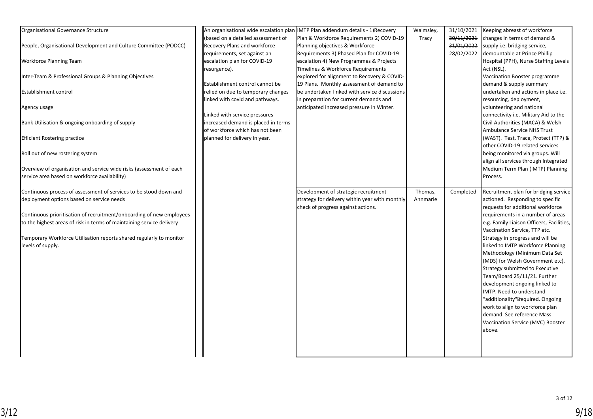| Organisational Governance Structure                                   |                                     | An organisational wide escalation plan IMTP Plan addendum details - 1) Recovery | Walmsley, | 31/10/2021 | Keeping abreast of workforce              |
|-----------------------------------------------------------------------|-------------------------------------|---------------------------------------------------------------------------------|-----------|------------|-------------------------------------------|
|                                                                       | (based on a detailed assessment of  | Plan & Workforce Requirements 2) COVID-19                                       | Tracy     | 30/11/2021 | changes in terms of demand &              |
| People, Organisational Development and Culture Committee (PODCC)      | Recovery Plans and workforce        | Planning objectives & Workforce                                                 |           | 31/01/2022 | supply i.e. bridging service,             |
|                                                                       | requirements, set against an        | Requirements 3) Phased Plan for COVID-19                                        |           | 28/02/2022 | demountable at Prince Phillip             |
| <b>Workforce Planning Team</b>                                        | escalation plan for COVID-19        | escalation 4) New Programmes & Projects                                         |           |            | Hospital (PPH), Nurse Staffing Levels     |
|                                                                       | resurgence).                        | Timelines & Workforce Requirements                                              |           |            | Act (NSL).                                |
| Inter-Team & Professional Groups & Planning Objectives                |                                     | explored for alignment to Recovery & COVID-                                     |           |            | Vaccination Booster programme             |
|                                                                       | Establishment control cannot be     | 19 Plans. Monthly assessment of demand to                                       |           |            | demand & supply summary                   |
| Establishment control                                                 | relied on due to temporary changes  | be undertaken linked with service discussions                                   |           |            | undertaken and actions in place i.e.      |
|                                                                       | linked with covid and pathways.     | in preparation for current demands and                                          |           |            | resourcing, deployment,                   |
| Agency usage                                                          |                                     | anticipated increased pressure in Winter.                                       |           |            | volunteering and national                 |
|                                                                       | Linked with service pressures       |                                                                                 |           |            | connectivity i.e. Military Aid to the     |
| Bank Utilisation & ongoing onboarding of supply                       | increased demand is placed in terms |                                                                                 |           |            | Civil Authorities (MACA) & Welsh          |
|                                                                       | of workforce which has not been     |                                                                                 |           |            | Ambulance Service NHS Trust               |
| <b>Efficient Rostering practice</b>                                   | planned for delivery in year.       |                                                                                 |           |            | (WAST).  Test, Trace, Protect (TTP) &     |
|                                                                       |                                     |                                                                                 |           |            | other COVID-19 related services           |
| Roll out of new rostering system                                      |                                     |                                                                                 |           |            | being monitored via groups. Will          |
|                                                                       |                                     |                                                                                 |           |            | align all services through Integrated     |
| Overview of organisation and service wide risks (assessment of each   |                                     |                                                                                 |           |            | Medium Term Plan (IMTP) Planning          |
| service area based on workforce availability)                         |                                     |                                                                                 |           |            | Process.                                  |
|                                                                       |                                     |                                                                                 |           |            |                                           |
| Continuous process of assessment of services to be stood down and     |                                     | Development of strategic recruitment                                            | Thomas,   | Completed  | Recruitment plan for bridging service     |
| deployment options based on service needs                             |                                     | strategy for delivery within year with monthly                                  | Annmarie  |            | actioned. Responding to specific          |
|                                                                       |                                     | check of progress against actions.                                              |           |            | requests for additional workforce         |
| Continuous prioritisation of recruitment/onboarding of new employees  |                                     |                                                                                 |           |            | requirements in a number of areas         |
| to the highest areas of risk in terms of maintaining service delivery |                                     |                                                                                 |           |            | e.g. Family Liaison Officers, Facilities, |
|                                                                       |                                     |                                                                                 |           |            | Vaccination Service, TTP etc.             |
| Temporary Workforce Utilisation reports shared regularly to monitor   |                                     |                                                                                 |           |            | Strategy in progress and will be          |
| levels of supply.                                                     |                                     |                                                                                 |           |            | linked to IMTP Workforce Planning         |
|                                                                       |                                     |                                                                                 |           |            | Methodology (Minimum Data Set             |
|                                                                       |                                     |                                                                                 |           |            | (MDS) for Welsh Government etc).          |
|                                                                       |                                     |                                                                                 |           |            | Strategy submitted to Executive           |
|                                                                       |                                     |                                                                                 |           |            | Team/Board 25/11/21. Further              |
|                                                                       |                                     |                                                                                 |           |            | development ongoing linked to             |
|                                                                       |                                     |                                                                                 |           |            | IMTP. Need to understand                  |
|                                                                       |                                     |                                                                                 |           |            | "additionality" required. Ongoing         |
|                                                                       |                                     |                                                                                 |           |            | work to align to workforce plan           |
|                                                                       |                                     |                                                                                 |           |            | demand. See reference Mass                |
|                                                                       |                                     |                                                                                 |           |            | Vaccination Service (MVC) Booster         |
|                                                                       |                                     |                                                                                 |           |            | above.                                    |
|                                                                       |                                     |                                                                                 |           |            |                                           |
|                                                                       |                                     |                                                                                 |           |            |                                           |
|                                                                       |                                     |                                                                                 |           |            |                                           |
|                                                                       |                                     |                                                                                 |           |            |                                           |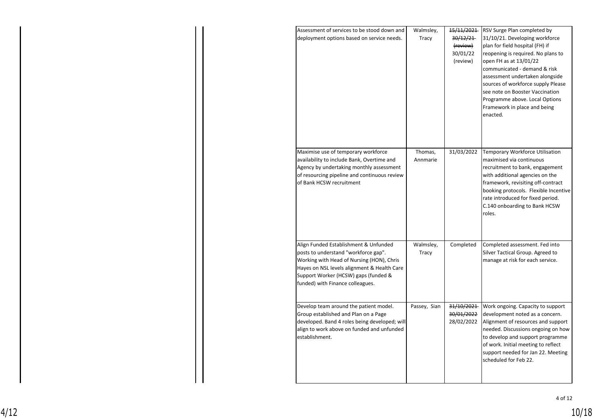| Assessment of services to be stood down and<br>deployment options based on service needs.                                                                                                                                                             | Walmsley,<br>Tracy | 15/11/2021<br>30/12/21<br>(review)<br>30/01/22<br>(review) | RSV Surge Plan completed by<br>31/10/21. Developing workforce<br>plan for field hospital (FH) if<br>reopening is required. No plans to<br>open FH as at 13/01/22<br>communicated - demand & risk<br>assessment undertaken alongside<br>sources of workforce supply Please<br>see note on Booster Vaccination<br>Programme above. Local Options<br>Framework in place and being<br>enacted. |
|-------------------------------------------------------------------------------------------------------------------------------------------------------------------------------------------------------------------------------------------------------|--------------------|------------------------------------------------------------|--------------------------------------------------------------------------------------------------------------------------------------------------------------------------------------------------------------------------------------------------------------------------------------------------------------------------------------------------------------------------------------------|
| Maximise use of temporary workforce                                                                                                                                                                                                                   | Thomas,            | 31/03/2022                                                 |                                                                                                                                                                                                                                                                                                                                                                                            |
| availability to include Bank, Overtime and<br>Agency by undertaking monthly assessment<br>of resourcing pipeline and continuous review<br>of Bank HCSW recruitment                                                                                    | Annmarie           |                                                            | Temporary Workforce Utilisation<br>maximised via continuous<br>recruitment to bank, engagement<br>with additional agencies on the<br>framework, revisiting off-contract<br>booking protocols. Flexible Incentive<br>rate introduced for fixed period.<br>C.140 onboarding to Bank HCSW<br>roles.                                                                                           |
| Align Funded Establishment & Unfunded<br>posts to understand "workforce gap".<br>Working with Head of Nursing (HON), Chris<br>Hayes on NSL levels alignment & Health Care<br>Support Worker (HCSW) gaps (funded &<br>funded) with Finance colleagues. | Walmsley,<br>Tracy | Completed                                                  | Completed assessment. Fed into<br>Silver Tactical Group. Agreed to<br>manage at risk for each service.                                                                                                                                                                                                                                                                                     |
| Develop team around the patient model.<br>Group established and Plan on a Page<br>developed. Band 4 roles being developed; will<br>align to work above on funded and unfunded<br>establishment.                                                       | Passey, Sian       | 31/10/2021<br>30/01/2022<br>28/02/2022                     | Work ongoing. Capacity to support<br>development noted as a concern.<br>Alignment of resources and support<br>needed. Discussions ongoing on how<br>to develop and support programme<br>of work. Initial meeting to reflect<br>support needed for Jan 22. Meeting<br>scheduled for Feb 22.                                                                                                 |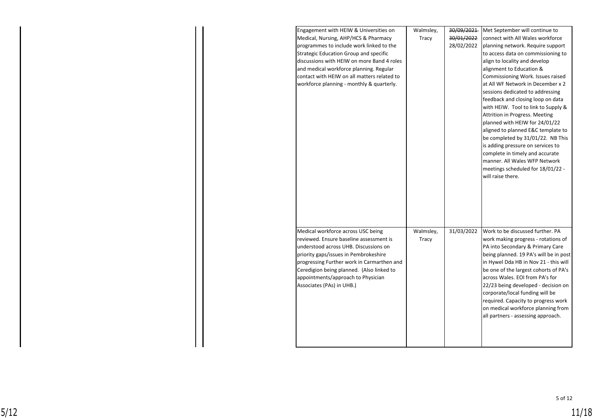| Engagement with HEIW & Universities on        | Walmsley, | 30/09/2021 | Met September will continue to         |
|-----------------------------------------------|-----------|------------|----------------------------------------|
| Medical, Nursing, AHP/HCS & Pharmacy          | Tracy     | 30/01/2022 | connect with All Wales workforce       |
| programmes to include work linked to the      |           | 28/02/2022 | planning network. Require support      |
| <b>Strategic Education Group and specific</b> |           |            | to access data on commissioning to     |
| discussions with HEIW on more Band 4 roles    |           |            | align to locality and develop          |
| and medical workforce planning. Regular       |           |            | alignment to Education &               |
| contact with HEIW on all matters related to   |           |            | Commissioning Work. Issues raised      |
| workforce planning - monthly & quarterly.     |           |            | at All WF Network in December x 2      |
|                                               |           |            | sessions dedicated to addressing       |
|                                               |           |            | feedback and closing loop on data      |
|                                               |           |            | with HEIW. Tool to link to Supply &    |
|                                               |           |            | Attrition in Progress. Meeting         |
|                                               |           |            | planned with HEIW for 24/01/22         |
|                                               |           |            | aligned to planned E&C template to     |
|                                               |           |            | be completed by 31/01/22. NB This      |
|                                               |           |            | is adding pressure on services to      |
|                                               |           |            | complete in timely and accurate        |
|                                               |           |            | manner. All Wales WFP Network          |
|                                               |           |            | meetings scheduled for 18/01/22 -      |
|                                               |           |            | will raise there.                      |
|                                               |           |            |                                        |
|                                               |           |            |                                        |
|                                               |           |            |                                        |
|                                               |           |            |                                        |
|                                               |           |            |                                        |
| Medical workforce across USC being            | Walmsley, | 31/03/2022 | Work to be discussed further. PA       |
| reviewed. Ensure baseline assessment is       | Tracy     |            | work making progress - rotations of    |
| understood across UHB. Discussions on         |           |            | PA into Secondary & Primary Care       |
| priority gaps/issues in Pembrokeshire         |           |            | being planned. 19 PA's will be in post |
| progressing Further work in Carmarthen and    |           |            | in Hywel Dda HB in Nov 21 - this will  |
| Ceredigion being planned. (Also linked to     |           |            | be one of the largest cohorts of PA's  |
| appointments/approach to Physician            |           |            | across Wales. EOI from PA's for        |
| Associates (PAs) in UHB.)                     |           |            | 22/23 being developed - decision on    |
|                                               |           |            | corporate/local funding will be        |
|                                               |           |            | required. Capacity to progress work    |
|                                               |           |            | on medical workforce planning from     |
|                                               |           |            | all partners - assessing approach.     |
|                                               |           |            |                                        |
|                                               |           |            |                                        |
|                                               |           |            |                                        |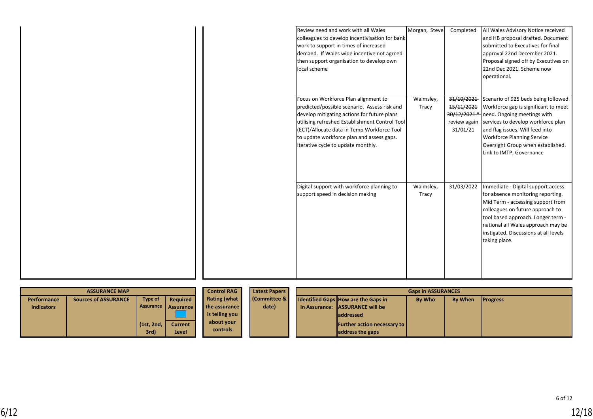| <b>ASSURANCE MAP</b> |                             |                    | <b>Control RAG</b>  | <b>Latest Papers</b> | <b>Gaps in ASSURANCES</b> |                                                                                    |  |  |  |
|----------------------|-----------------------------|--------------------|---------------------|----------------------|---------------------------|------------------------------------------------------------------------------------|--|--|--|
| Performance          | <b>Sources of ASSURANCE</b> | Type of            | <b>Required</b>     | <b>Rating (what</b>  | <b>Committee &amp;</b>    | <b>By When</b><br>Identified Gaps How are the Gaps in<br>By Who<br><b>Progress</b> |  |  |  |
| <b>Indicators</b>    |                             |                    | Assurance Assurance | the assurance        | date)                     | in Assurance: LASSURANCE will be                                                   |  |  |  |
|                      |                             |                    |                     | is telling you       |                           | <b>laddressed</b>                                                                  |  |  |  |
|                      |                             | $(1st, 2nd, \vert$ | <b>Current</b>      | about your           |                           | <b>Further action necessary to</b>                                                 |  |  |  |
|                      |                             | 3rd)               | Level               | controls             |                           | address the gaps                                                                   |  |  |  |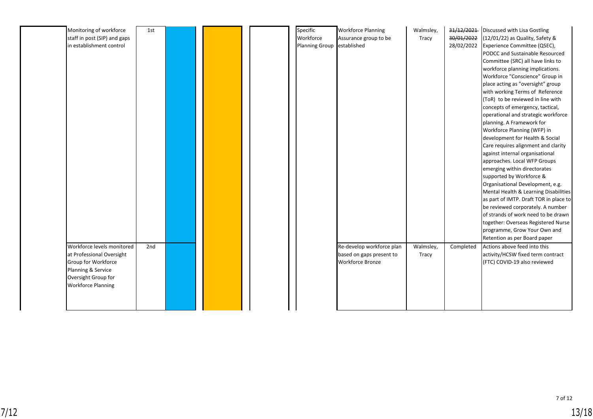| Monitoring of workforce      | 1st |  | Specific                   | <b>Workforce Planning</b> | Walmsley, | 31/12/2021 | Discussed with Lisa Gostling           |
|------------------------------|-----|--|----------------------------|---------------------------|-----------|------------|----------------------------------------|
| staff in post (SIP) and gaps |     |  | Workforce                  | Assurance group to be     | Tracy     | 30/01/2022 | (12/01/22) as Quality, Safety &        |
| in establishment control     |     |  | Planning Group established |                           |           | 28/02/2022 | Experience Committee (QSEC),           |
|                              |     |  |                            |                           |           |            | PODCC and Sustainable Resourced        |
|                              |     |  |                            |                           |           |            | Committee (SRC) all have links to      |
|                              |     |  |                            |                           |           |            | workforce planning implications.       |
|                              |     |  |                            |                           |           |            | Workforce "Conscience" Group in        |
|                              |     |  |                            |                           |           |            | place acting as "oversight" group      |
|                              |     |  |                            |                           |           |            | with working Terms of Reference        |
|                              |     |  |                            |                           |           |            | (ToR) to be reviewed in line with      |
|                              |     |  |                            |                           |           |            | concepts of emergency, tactical,       |
|                              |     |  |                            |                           |           |            | operational and strategic workforce    |
|                              |     |  |                            |                           |           |            | planning. A Framework for              |
|                              |     |  |                            |                           |           |            | Workforce Planning (WFP) in            |
|                              |     |  |                            |                           |           |            | development for Health & Social        |
|                              |     |  |                            |                           |           |            | Care requires alignment and clarity    |
|                              |     |  |                            |                           |           |            | against internal organisational        |
|                              |     |  |                            |                           |           |            | approaches. Local WFP Groups           |
|                              |     |  |                            |                           |           |            | emerging within directorates           |
|                              |     |  |                            |                           |           |            | supported by Workforce &               |
|                              |     |  |                            |                           |           |            | Organisational Development, e.g.       |
|                              |     |  |                            |                           |           |            | Mental Health & Learning Disabilities  |
|                              |     |  |                            |                           |           |            | as part of IMTP. Draft TOR in place to |
|                              |     |  |                            |                           |           |            | be reviewed corporately. A number      |
|                              |     |  |                            |                           |           |            | of strands of work need to be drawn    |
|                              |     |  |                            |                           |           |            | together: Overseas Registered Nurse    |
|                              |     |  |                            |                           |           |            | programme, Grow Your Own and           |
|                              |     |  |                            |                           |           |            | Retention as per Board paper           |
| Workforce levels monitored   | 2nd |  |                            | Re-develop workforce plan | Walmsley, | Completed  | Actions above feed into this           |
| at Professional Oversight    |     |  |                            | based on gaps present to  | Tracy     |            | activity/HCSW fixed term contract      |
| Group for Workforce          |     |  |                            | <b>Workforce Bronze</b>   |           |            | (FTC) COVID-19 also reviewed           |
| Planning & Service           |     |  |                            |                           |           |            |                                        |
| Oversight Group for          |     |  |                            |                           |           |            |                                        |
| <b>Workforce Planning</b>    |     |  |                            |                           |           |            |                                        |
|                              |     |  |                            |                           |           |            |                                        |
|                              |     |  |                            |                           |           |            |                                        |
|                              |     |  |                            |                           |           |            |                                        |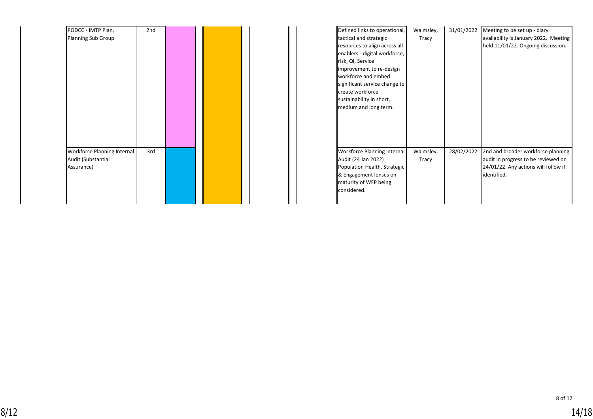| PODCC - IMTP Plan,          | 2nd |  |  |  | Defined links to operational, | Walmsley, | 31/01/2022 |
|-----------------------------|-----|--|--|--|-------------------------------|-----------|------------|
| <b>Planning Sub Group</b>   |     |  |  |  | tactical and strategic        | Tracy     |            |
|                             |     |  |  |  | resources to align across all |           |            |
|                             |     |  |  |  | enablers - digital workforce, |           |            |
|                             |     |  |  |  | risk, QI, Service             |           |            |
|                             |     |  |  |  | improvement to re-design      |           |            |
|                             |     |  |  |  | workforce and embed           |           |            |
|                             |     |  |  |  | significant service change to |           |            |
|                             |     |  |  |  | create workforce              |           |            |
|                             |     |  |  |  | sustainability in short,      |           |            |
|                             |     |  |  |  | medium and long term.         |           |            |
|                             |     |  |  |  |                               |           |            |
|                             |     |  |  |  |                               |           |            |
|                             |     |  |  |  |                               |           |            |
|                             |     |  |  |  |                               |           |            |
|                             |     |  |  |  |                               |           |            |
| Workforce Planning Internal | 3rd |  |  |  | Workforce Planning Internal   | Walmsley, | 28/02/2022 |
| Audit (Substantial          |     |  |  |  | Audit (24 Jan 2022)           | Tracy     |            |
| Assurance)                  |     |  |  |  | Population Health, Strategic  |           |            |
|                             |     |  |  |  | & Engagement lenses on        |           |            |
|                             |     |  |  |  | maturity of WFP being         |           |            |
|                             |     |  |  |  | considered.                   |           |            |
|                             |     |  |  |  |                               |           |            |

| Defined links to operational,<br>tactical and strategic<br>resources to align across all<br>enablers - digital workforce,<br>risk, QI, Service<br>improvement to re-design<br>workforce and embed<br>significant service change to<br>create workforce<br>sustainability in short, | Walmsley,<br>Tracy | 31/01/2022 | Meeting to be set up - diary<br>availability is January 2022. Meeting<br>held 11/01/22. Ongoing discussion.                      |
|------------------------------------------------------------------------------------------------------------------------------------------------------------------------------------------------------------------------------------------------------------------------------------|--------------------|------------|----------------------------------------------------------------------------------------------------------------------------------|
| medium and long term.<br>Workforce Planning Internal<br>Audit (24 Jan 2022)<br>Population Health, Strategic<br>& Engagement lenses on<br>maturity of WFP being<br>considered.                                                                                                      | Walmsley,<br>Tracy | 28/02/2022 | 2nd and broader workforce planning<br>audit in progress to be reviewed on<br>24/01/22. Any actions will follow if<br>identified. |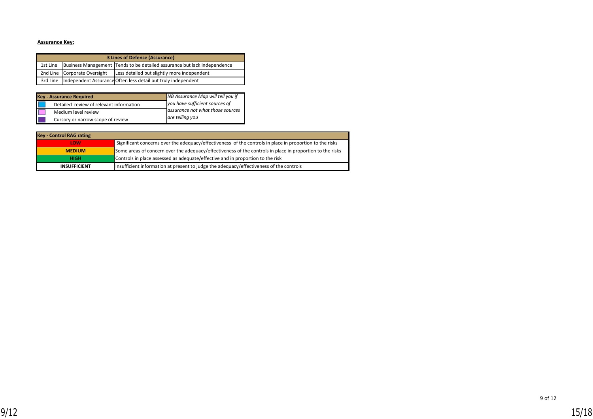### **Assurance Key:**

| 3 Lines of Defence (Assurance) |                              |                                                                          |  |  |  |  |  |
|--------------------------------|------------------------------|--------------------------------------------------------------------------|--|--|--|--|--|
| 1st Line                       |                              | Business Management Tends to be detailed assurance but lack independence |  |  |  |  |  |
|                                | 2nd Line Corporate Oversight | Less detailed but slightly more independent                              |  |  |  |  |  |
|                                |                              | 3rd Line Independent Assurance Often less detail but truly independent   |  |  |  |  |  |

| <b>Key - Assurance Required</b>         | NB Assurance Map will tell you if |
|-----------------------------------------|-----------------------------------|
| Detailed review of relevant information | you have sufficient sources of    |
| Medium level review                     | assurance not what those sources  |
| Cursory or narrow scope of review       | are telling you                   |

| <b>Key - Control RAG rating</b> |                                                                                                           |
|---------------------------------|-----------------------------------------------------------------------------------------------------------|
| LOW                             | Significant concerns over the adequacy/effectiveness of the controls in place in proportion to the risks  |
| <b>MEDIUM</b>                   | Some areas of concern over the adequacy/effectiveness of the controls in place in proportion to the risks |
| <b>HIGH</b>                     | Controls in place assessed as adequate/effective and in proportion to the risk                            |
| <b>INSUFFICIENT</b>             | Insufficient information at present to judge the adequacy/effectiveness of the controls                   |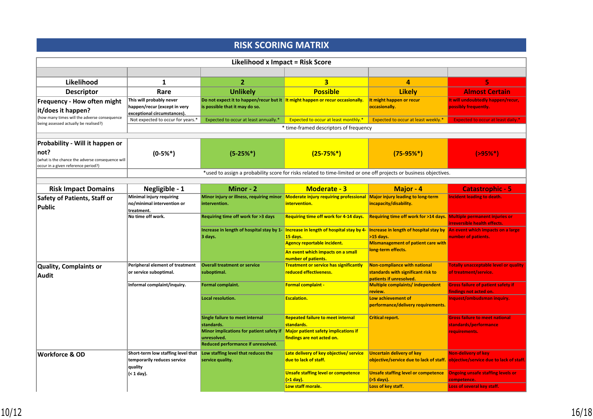# **RISK SCORING MATRIX**

|                                                                                                 |                                                                                         | Likelihood x Impact = Risk Score                                                                                 |                                                                                                                                                                                                                                  |                                                                       |                                                                                                               |  |
|-------------------------------------------------------------------------------------------------|-----------------------------------------------------------------------------------------|------------------------------------------------------------------------------------------------------------------|----------------------------------------------------------------------------------------------------------------------------------------------------------------------------------------------------------------------------------|-----------------------------------------------------------------------|---------------------------------------------------------------------------------------------------------------|--|
|                                                                                                 |                                                                                         |                                                                                                                  |                                                                                                                                                                                                                                  |                                                                       |                                                                                                               |  |
| Likelihood                                                                                      | 1                                                                                       | $\overline{2}$                                                                                                   | $\overline{\mathbf{3}}$                                                                                                                                                                                                          | $\overline{a}$                                                        | 5                                                                                                             |  |
| <b>Descriptor</b>                                                                               | Rare                                                                                    | <b>Unlikely</b>                                                                                                  | <b>Possible</b>                                                                                                                                                                                                                  | <b>Likely</b>                                                         | <b>Almost Certain</b>                                                                                         |  |
| Frequency - How often might<br>it/does it happen?                                               | This will probably never<br>happen/recur (except in very<br>exceptional circumstances). | Do not expect it to happen/recur but it It might happen or recur occasionally.<br>is possible that it may do so. |                                                                                                                                                                                                                                  | It might happen or recur<br>occasionally.                             | It will undoubtedly happen/recur,<br>possibly frequently.                                                     |  |
| (how many times will the adverse consequence<br>being assessed actually be realised?)           | Not expected to occur for years.*                                                       | Expected to occur at least annually.*                                                                            | <b>Expected to occur at least monthly.*</b>                                                                                                                                                                                      | Expected to occur at least weekly.*                                   | <b>Expected to occur at least daily.</b>                                                                      |  |
|                                                                                                 |                                                                                         |                                                                                                                  | * time-framed descriptors of frequency                                                                                                                                                                                           |                                                                       |                                                                                                               |  |
| Probability - Will it happen or                                                                 |                                                                                         |                                                                                                                  |                                                                                                                                                                                                                                  |                                                                       |                                                                                                               |  |
| not?<br>(what is the chance the adverse consequence will<br>occur in a given reference period?) | $(0-5%^{*})$                                                                            | $(5-25%)$                                                                                                        | $(25-75%)$                                                                                                                                                                                                                       | $(75-95%^{*})$                                                        | $( > 95\%*)$                                                                                                  |  |
|                                                                                                 |                                                                                         |                                                                                                                  | *used to assign a probability score for risks related to time-limited or one off projects or business objectives.                                                                                                                |                                                                       |                                                                                                               |  |
| <b>Risk Impact Domains</b>                                                                      | Negligible - 1                                                                          | Minor - 2                                                                                                        | <b>Moderate - 3</b>                                                                                                                                                                                                              | Major - 4                                                             | <b>Catastrophic - 5</b>                                                                                       |  |
| Safety of Patients, Staff or                                                                    | Minimal injury requiring                                                                |                                                                                                                  | Minor injury or illness, requiring minor Moderate injury requiring professional Major injury leading to long-term                                                                                                                |                                                                       | <b>Incident leading to death.</b>                                                                             |  |
| <b>Public</b>                                                                                   | no/minimal intervention or<br>treatment.                                                | intervention.                                                                                                    | intervention.                                                                                                                                                                                                                    | incapacity/disability.                                                |                                                                                                               |  |
|                                                                                                 | No time off work.                                                                       | Requiring time off work for >3 days                                                                              | Requiring time off work for 4-14 days.                                                                                                                                                                                           | Requiring time off work for >14 days. Multiple permanent injuries or  | irreversible health effects.                                                                                  |  |
|                                                                                                 |                                                                                         | Increase in length of hospital stay by 1-<br>3 days.                                                             | Increase in length of hospital stay by 4- Increase in length of hospital stay by An event which impacts on a large<br>15 days.<br><b>Agency reportable incident.</b><br>An event which impacts on a small<br>number of patients. | >15 days.<br>Mismanagement of patient care with<br>long-term effects. | number of patients.                                                                                           |  |
| Quality, Complaints or                                                                          | Peripheral element of treatment                                                         | <b>Overall treatment or service</b>                                                                              | <b>Treatment or service has significantly</b>                                                                                                                                                                                    | Non-compliance with national                                          | <b>Totally unacceptable level or quality</b>                                                                  |  |
| <b>Audit</b>                                                                                    | or service suboptimal.                                                                  | suboptimal.                                                                                                      | reduced effectiveness.                                                                                                                                                                                                           | standards with significant risk to<br>patients if unresolved.         | of treatment/service.                                                                                         |  |
|                                                                                                 | Informal complaint/inquiry.                                                             | Formal complaint.                                                                                                | Formal complaint -                                                                                                                                                                                                               | <b>Multiple complaints/independent</b>                                | <b>Gross failure of patient safety if</b>                                                                     |  |
|                                                                                                 |                                                                                         | Local resolution.                                                                                                | <b>Escalation.</b>                                                                                                                                                                                                               | review.<br>Low achievement of<br>performance/delivery requirements.   | findings not acted on.<br>Inquest/ombudsman inquiry.                                                          |  |
|                                                                                                 |                                                                                         | Single failure to meet internal<br>standards.<br>Minor implications for patient safety if                        | <b>Repeated failure to meet internal</b><br>standards.<br><b>Major patient safety implications if</b>                                                                                                                            | <b>Critical report.</b>                                               | <b>Gross failure to meet national</b><br>standards/performance<br>requirements.                               |  |
|                                                                                                 |                                                                                         | unresolved.<br>Reduced performance if unresolved.                                                                | findings are not acted on.                                                                                                                                                                                                       |                                                                       |                                                                                                               |  |
| <b>Workforce &amp; OD</b>                                                                       | Short-term low staffing level that<br>temporarily reduces service<br>quality            | Low staffing level that reduces the<br>service quality.                                                          | Late delivery of key objective/ service<br>due to lack of staff.                                                                                                                                                                 | <b>Uncertain delivery of key</b>                                      | <b>Non-delivery of key</b><br>objective/service due to lack of staff. objective/service due to lack of staff. |  |
|                                                                                                 | (< 1 day).                                                                              |                                                                                                                  | Unsafe staffing level or competence<br>$($ >1 day).                                                                                                                                                                              | <b>Unsafe staffing level or competence</b>                            | <b>Ongoing unsafe staffing levels or</b>                                                                      |  |
|                                                                                                 |                                                                                         |                                                                                                                  | Low staff morale.                                                                                                                                                                                                                | (>5 days).<br>Loss of key staff.                                      | competence.<br>Loss of several key staff.                                                                     |  |
|                                                                                                 |                                                                                         |                                                                                                                  |                                                                                                                                                                                                                                  |                                                                       |                                                                                                               |  |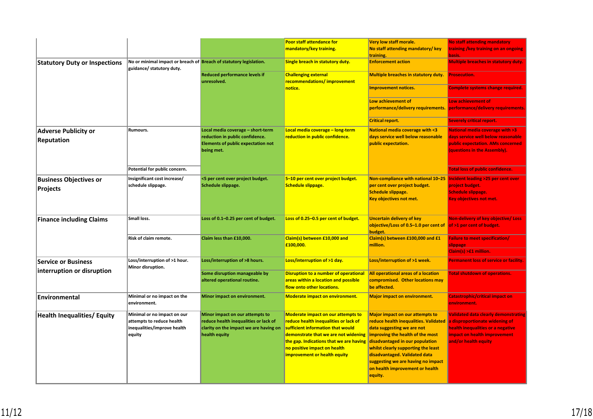|                                      |                                                                                                 |                                                     | <b>Poor staff attendance for</b>                           | <b>Very low staff morale.</b>                                         | <b>No staff attending mandatory</b>                    |
|--------------------------------------|-------------------------------------------------------------------------------------------------|-----------------------------------------------------|------------------------------------------------------------|-----------------------------------------------------------------------|--------------------------------------------------------|
|                                      |                                                                                                 |                                                     | mandatory/key training.                                    | No staff attending mandatory/ key                                     | training /key training on an ongoing                   |
|                                      |                                                                                                 |                                                     |                                                            | training.                                                             |                                                        |
| <b>Statutory Duty or Inspections</b> | No or minimal impact or breach of Breach of statutory legislation.<br>guidance/ statutory duty. |                                                     | Single breach in statutory duty.                           | <b>Enforcement action</b>                                             | <b>Multiple breaches in statutory duty.</b>            |
|                                      |                                                                                                 | <b>Reduced performance levels if</b><br>unresolved. | <b>Challenging external</b><br>recommendations/improvement | Multiple breaches in statutory duty.                                  | <b>Prosecution.</b>                                    |
|                                      |                                                                                                 |                                                     | notice.                                                    | <b>Improvement notices.</b>                                           | <b>Complete systems change required.</b>               |
|                                      |                                                                                                 |                                                     |                                                            | Low achievement of                                                    | Low achievement of                                     |
|                                      |                                                                                                 |                                                     |                                                            | performance/delivery requirements.                                    | performance/delivery requirements.                     |
|                                      |                                                                                                 |                                                     |                                                            | <b>Critical report.</b>                                               | <b>Severely critical report.</b>                       |
| <b>Adverse Publicity or</b>          | Rumours.                                                                                        | Local media coverage - short-term                   | Local media coverage - long-term                           | <b>National media coverage with &lt;3</b>                             | <b>National media coverage with &gt;3</b>              |
| Reputation                           |                                                                                                 | reduction in public confidence.                     | reduction in public confidence.                            | days service well below reasonable                                    | days service well below reasonable                     |
|                                      |                                                                                                 | <b>Elements of public expectation not</b>           |                                                            | public expectation.                                                   | public expectation. AMs concerned                      |
|                                      |                                                                                                 | being met.                                          |                                                            |                                                                       | (questions in the Assembly).                           |
|                                      |                                                                                                 |                                                     |                                                            |                                                                       |                                                        |
|                                      | Potential for public concern.                                                                   |                                                     |                                                            |                                                                       | <b>Total loss of public confidence.</b>                |
| <b>Business Objectives or</b>        | Insignificant cost increase/                                                                    | <5 per cent over project budget.                    | 5-10 per cent over project budget.                         | Non-compliance with national 10-25 Incident leading >25 per cent over |                                                        |
| Projects                             | schedule slippage.                                                                              | Schedule slippage.                                  | <b>Schedule slippage.</b>                                  | per cent over project budget.                                         | project budget.                                        |
|                                      |                                                                                                 |                                                     |                                                            | <b>Schedule slippage.</b>                                             | <b>Schedule slippage.</b>                              |
|                                      |                                                                                                 |                                                     |                                                            | Key objectives not met.                                               | Key objectives not met.                                |
|                                      |                                                                                                 |                                                     |                                                            |                                                                       |                                                        |
| <b>Finance including Claims</b>      | Small loss.                                                                                     | Loss of 0.1-0.25 per cent of budget.                | Loss of 0.25-0.5 per cent of budget.                       | <b>Uncertain delivery of key</b>                                      | Non-delivery of key objective/ Loss                    |
|                                      |                                                                                                 |                                                     |                                                            | objective/Loss of 0.5-1.0 per cent of                                 | of >1 per cent of budget.                              |
|                                      |                                                                                                 |                                                     |                                                            | budget.                                                               |                                                        |
|                                      | Risk of claim remote.                                                                           | Claim less than £10,000.                            | Claim(s) between £10,000 and<br>£100,000.                  | Claim(s) between £100,000 and £1                                      | <b>Failure to meet specification/</b>                  |
|                                      |                                                                                                 |                                                     |                                                            | million.                                                              | slippage<br>Claim(s) >£1 million.                      |
|                                      |                                                                                                 |                                                     |                                                            |                                                                       |                                                        |
| <b>Service or Business</b>           | Loss/interruption of >1 hour.<br>Minor disruption.                                              | Loss/interruption of >8 hours.                      | Loss/interruption of >1 day.                               | Loss/interruption of >1 week.                                         | Permanent loss of service or facility.                 |
| interruption or disruption           |                                                                                                 | Some disruption manageable by                       | Disruption to a number of operational                      | All operational areas of a location                                   | <b>Total shutdown of operations.</b>                   |
|                                      |                                                                                                 | altered operational routine.                        | areas within a location and possible                       | compromised. Other locations may                                      |                                                        |
|                                      |                                                                                                 |                                                     | flow onto other locations.                                 | be affected.                                                          |                                                        |
| <b>Environmental</b>                 | Minimal or no impact on the<br>environment.                                                     | Minor impact on environment.                        | <b>Moderate impact on environment.</b>                     | <b>Major impact on environment.</b>                                   | <b>Catastrophic/critical impact on</b><br>environment. |
| <b>Health Inequalities/ Equity</b>   | Minimal or no impact on our                                                                     | Minor impact on our attempts to                     | <b>Moderate impact on our attempts to</b>                  | <b>Major impact on our attempts to</b>                                | <b>Validated data clearly demonstrating</b>            |
|                                      | attempts to reduce health                                                                       | reduce health inequalities or lack of               | reduce health inequalities or lack of                      | reduce health inequalities. Validated                                 | a disproportionate widening of                         |
|                                      | inequalities/improve health                                                                     | clarity on the impact we are having on              | sufficient information that would                          | data suggesting we are not                                            | health inequalities or a negative                      |
|                                      | equity                                                                                          | health equity                                       | demonstrate that we are not widening                       | improving the health of the most                                      | impact on health improvement                           |
|                                      |                                                                                                 |                                                     | the gap. Indications that we are having                    | disadvantaged in our population                                       | and/or health equity                                   |
|                                      |                                                                                                 |                                                     | no positive impact on health                               | whilst clearly supporting the least                                   |                                                        |
|                                      |                                                                                                 |                                                     | improvement or health equity                               | disadvantaged. Validated data                                         |                                                        |
|                                      |                                                                                                 |                                                     |                                                            | suggesting we are having no impact                                    |                                                        |
|                                      |                                                                                                 |                                                     |                                                            | on health improvement or health                                       |                                                        |
|                                      |                                                                                                 |                                                     |                                                            | equity.                                                               |                                                        |